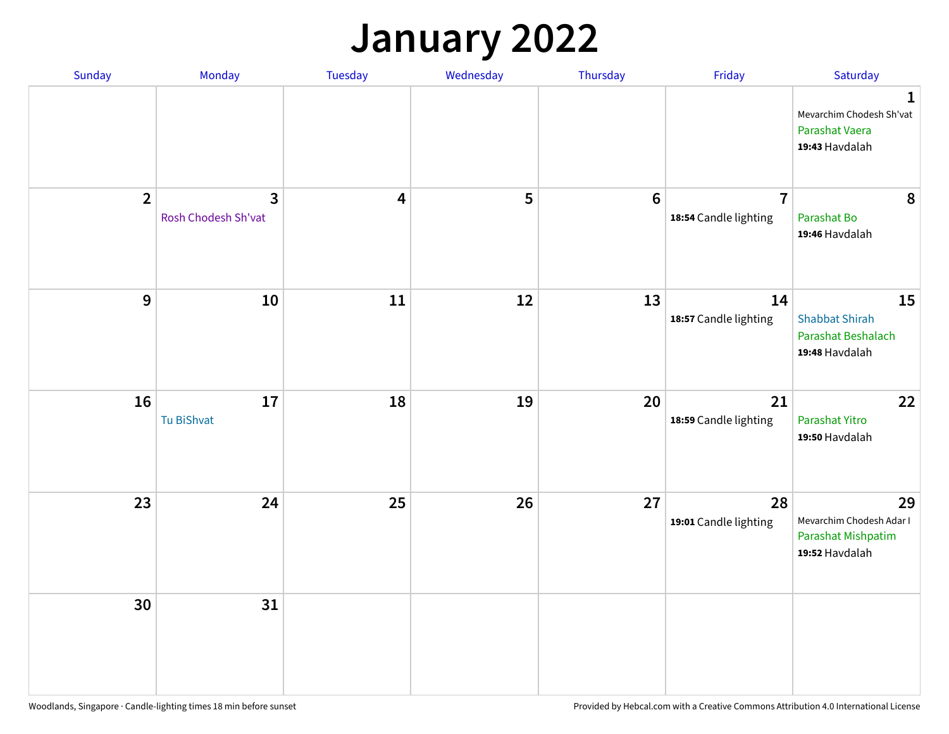#### **January 2022**

| Sunday         | Monday                   | Tuesday                 | Wednesday | Thursday         | Friday                                  | Saturday                                                                     |
|----------------|--------------------------|-------------------------|-----------|------------------|-----------------------------------------|------------------------------------------------------------------------------|
|                |                          |                         |           |                  |                                         | $\mathbf{1}$<br>Mevarchim Chodesh Sh'vat<br>Parashat Vaera<br>19:43 Havdalah |
| $\overline{2}$ | 3<br>Rosh Chodesh Sh'vat | $\overline{\mathbf{4}}$ | 5         | $\boldsymbol{6}$ | $\overline{7}$<br>18:54 Candle lighting | 8<br>Parashat Bo<br>19:46 Havdalah                                           |
| $\mathbf{9}$   | 10                       | ${\bf 11}$              | 12        | 13               | 14<br>18:57 Candle lighting             | 15<br><b>Shabbat Shirah</b><br>Parashat Beshalach<br>19:48 Havdalah          |
| 16             | 17<br>Tu BiShvat         | 18                      | 19        | 20               | 21<br>18:59 Candle lighting             | 22<br>Parashat Yitro<br>19:50 Havdalah                                       |
| 23             | 24                       | 25                      | 26        | 27               | 28<br>19:01 Candle lighting             | 29<br>Mevarchim Chodesh Adar I<br>Parashat Mishpatim<br>19:52 Havdalah       |
| 30             | 31                       |                         |           |                  |                                         |                                                                              |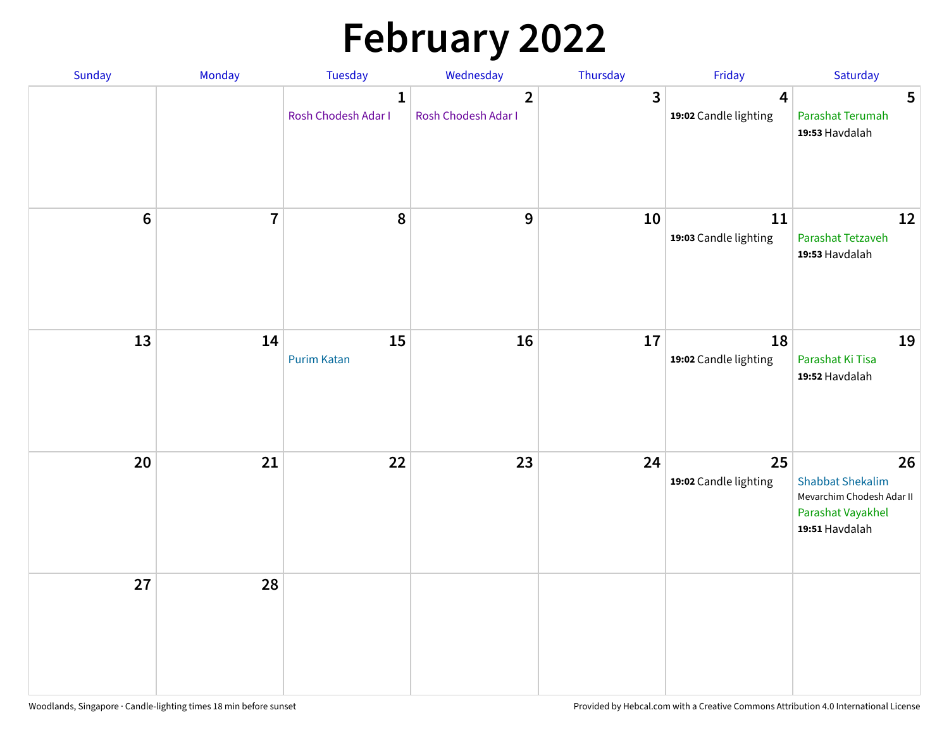# **February 2022**

| Sunday | Monday                  | <b>Tuesday</b>                      | Wednesday                             | Thursday | Friday                                           | Saturday                                                                                          |
|--------|-------------------------|-------------------------------------|---------------------------------------|----------|--------------------------------------------------|---------------------------------------------------------------------------------------------------|
|        |                         | $\mathbf{1}$<br>Rosh Chodesh Adar I | $\overline{2}$<br>Rosh Chodesh Adar I | 3        | $\overline{\mathbf{4}}$<br>19:02 Candle lighting | 5<br>Parashat Terumah<br>19:53 Havdalah                                                           |
| $6\,$  | $\overline{\mathbf{7}}$ | 8                                   | 9                                     | 10       | 11<br>19:03 Candle lighting                      | 12<br>Parashat Tetzaveh<br>19:53 Havdalah                                                         |
| 13     | 14                      | 15<br><b>Purim Katan</b>            | 16                                    | 17       | 18<br>19:02 Candle lighting                      | 19<br>Parashat Ki Tisa<br>19:52 Havdalah                                                          |
| 20     | 21                      | 22                                  | 23                                    | 24       | 25<br>19:02 Candle lighting                      | 26<br><b>Shabbat Shekalim</b><br>Mevarchim Chodesh Adar II<br>Parashat Vayakhel<br>19:51 Havdalah |
| 27     | 28                      |                                     |                                       |          |                                                  |                                                                                                   |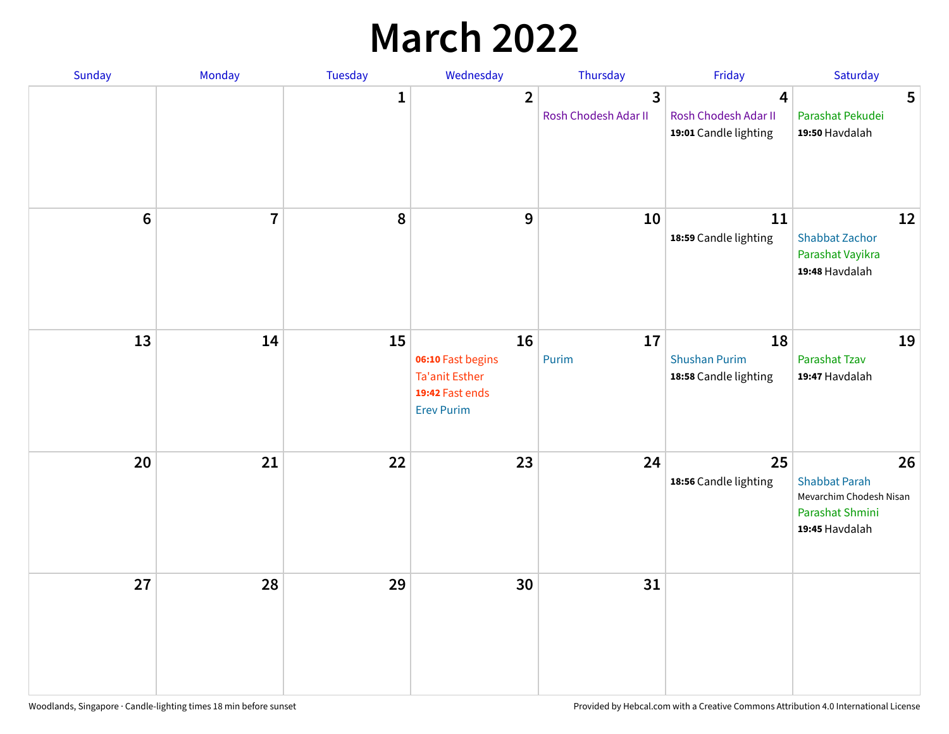## **March 2022**

| Sunday         | Monday         | <b>Tuesday</b> | Wednesday                                                                                | Thursday                  | Friday                                                                   | Saturday                                                                                   |
|----------------|----------------|----------------|------------------------------------------------------------------------------------------|---------------------------|--------------------------------------------------------------------------|--------------------------------------------------------------------------------------------|
|                |                | $\mathbf{1}$   | $\overline{2}$                                                                           | 3<br>Rosh Chodesh Adar II | $\overline{\mathbf{4}}$<br>Rosh Chodesh Adar II<br>19:01 Candle lighting | 5<br>Parashat Pekudei<br>19:50 Havdalah                                                    |
| $6\phantom{1}$ | $\overline{7}$ | 8              | $\mathbf 9$                                                                              | 10                        | 11<br>18:59 Candle lighting                                              | 12<br><b>Shabbat Zachor</b><br>Parashat Vayikra<br>19:48 Havdalah                          |
| 13             | 14             | 15             | 16<br>06:10 Fast begins<br><b>Ta'anit Esther</b><br>19:42 Fast ends<br><b>Erev Purim</b> | 17<br>Purim               | 18<br><b>Shushan Purim</b><br>18:58 Candle lighting                      | 19<br>Parashat Tzav<br>19:47 Havdalah                                                      |
| 20             | 21             | 22             | 23                                                                                       | 24                        | 25<br>18:56 Candle lighting                                              | 26<br><b>Shabbat Parah</b><br>Mevarchim Chodesh Nisan<br>Parashat Shmini<br>19:45 Havdalah |
| 27             | 28             | 29             | 30                                                                                       | 31                        |                                                                          |                                                                                            |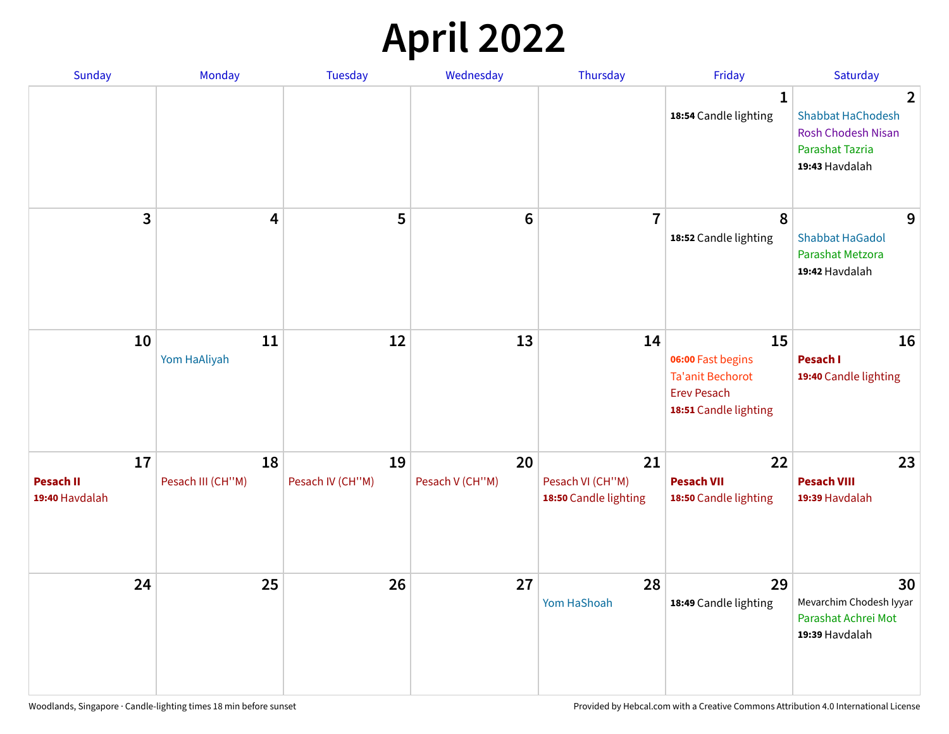## **April 2022**

| Sunday                                   | Monday                  | <b>Tuesday</b>         | Wednesday             | Thursday                                        | Friday                                                                                            | Saturday                                                                                                     |
|------------------------------------------|-------------------------|------------------------|-----------------------|-------------------------------------------------|---------------------------------------------------------------------------------------------------|--------------------------------------------------------------------------------------------------------------|
|                                          |                         |                        |                       |                                                 | 1<br>18:54 Candle lighting                                                                        | $\overline{2}$<br><b>Shabbat HaChodesh</b><br><b>Rosh Chodesh Nisan</b><br>Parashat Tazria<br>19:43 Havdalah |
| 3                                        | 4                       | 5                      | $6\phantom{1}6$       | $\overline{7}$                                  | 8<br>18:52 Candle lighting                                                                        | 9<br><b>Shabbat HaGadol</b><br>Parashat Metzora<br>19:42 Havdalah                                            |
| 10                                       | 11<br>Yom HaAliyah      | 12                     | 13                    | 14                                              | 15<br>06:00 Fast begins<br><b>Ta'anit Bechorot</b><br><b>Erev Pesach</b><br>18:51 Candle lighting | 16<br>Pesach I<br>19:40 Candle lighting                                                                      |
| 17<br><b>Pesach II</b><br>19:40 Havdalah | 18<br>Pesach III (CH"M) | 19<br>Pesach IV (CH"M) | 20<br>Pesach V (CH"M) | 21<br>Pesach VI (CH"M)<br>18:50 Candle lighting | 22<br><b>Pesach VII</b><br>18:50 Candle lighting                                                  | 23<br><b>Pesach VIII</b><br>19:39 Havdalah                                                                   |
| 24                                       | 25                      | 26                     | 27                    | 28<br>Yom HaShoah                               | 29<br>18:49 Candle lighting                                                                       | 30<br>Mevarchim Chodesh Iyyar<br>Parashat Achrei Mot<br>19:39 Havdalah                                       |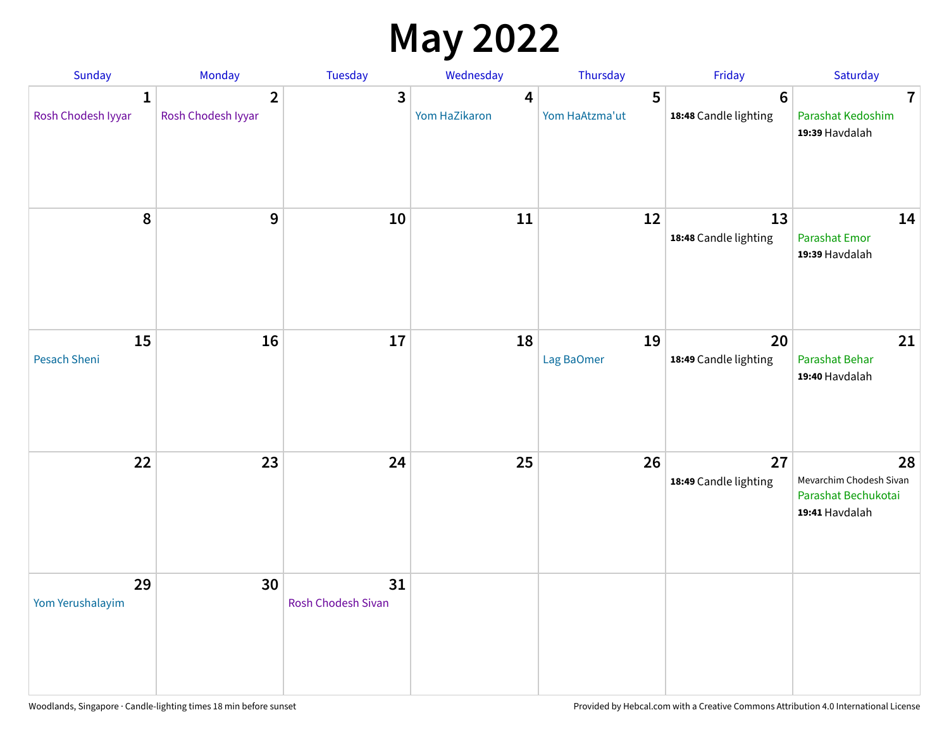## **May 2022**

| <b>Sunday</b>                      | Monday                               | Tuesday                         | Wednesday          | Thursday            | Friday                                   | Saturday                                                               |
|------------------------------------|--------------------------------------|---------------------------------|--------------------|---------------------|------------------------------------------|------------------------------------------------------------------------|
| $\mathbf{1}$<br>Rosh Chodesh Iyyar | $\overline{2}$<br>Rosh Chodesh Iyyar | 3                               | 4<br>Yom HaZikaron | 5<br>Yom HaAtzma'ut | $6\phantom{1}6$<br>18:48 Candle lighting | $\overline{7}$<br>Parashat Kedoshim<br>19:39 Havdalah                  |
| $\pmb{8}$                          | $\mathbf{9}$                         | 10                              | 11                 | 12                  | 13<br>18:48 Candle lighting              | 14<br><b>Parashat Emor</b><br>19:39 Havdalah                           |
| 15<br>Pesach Sheni                 | 16                                   | 17                              | 18                 | 19<br>Lag BaOmer    | 20<br>18:49 Candle lighting              | 21<br>Parashat Behar<br>19:40 Havdalah                                 |
| 22                                 | 23                                   | 24                              | 25                 | 26                  | 27<br>18:49 Candle lighting              | 28<br>Mevarchim Chodesh Sivan<br>Parashat Bechukotai<br>19:41 Havdalah |
| 29<br>Yom Yerushalayim             | 30                                   | 31<br><b>Rosh Chodesh Sivan</b> |                    |                     |                                          |                                                                        |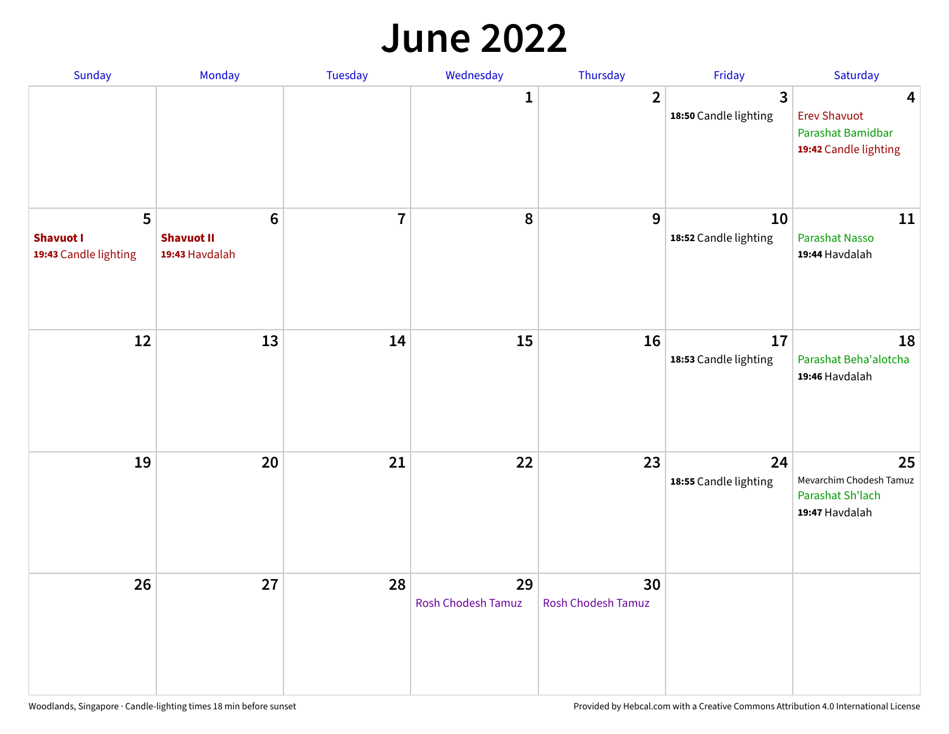#### **June 2022**

| Sunday                                         | Monday                                                | Tuesday        | Wednesday                       | Thursday                        | Friday                      | Saturday                                                               |
|------------------------------------------------|-------------------------------------------------------|----------------|---------------------------------|---------------------------------|-----------------------------|------------------------------------------------------------------------|
|                                                |                                                       |                | 1                               | $\overline{2}$                  | 3<br>18:50 Candle lighting  | 4<br><b>Erev Shavuot</b><br>Parashat Bamidbar<br>19:42 Candle lighting |
| 5<br><b>Shavuot I</b><br>19:43 Candle lighting | $6\phantom{1}$<br><b>Shavuot II</b><br>19:43 Havdalah | $\overline{7}$ | 8                               | 9                               | 10<br>18:52 Candle lighting | 11<br><b>Parashat Nasso</b><br>19:44 Havdalah                          |
| 12                                             | 13                                                    | 14             | 15                              | 16                              | 17<br>18:53 Candle lighting | 18<br>Parashat Beha'alotcha<br>19:46 Havdalah                          |
| 19                                             | 20                                                    | 21             | 22                              | 23                              | 24<br>18:55 Candle lighting | 25<br>Mevarchim Chodesh Tamuz<br>Parashat Sh'lach<br>19:47 Havdalah    |
| 26                                             | 27                                                    | 28             | 29<br><b>Rosh Chodesh Tamuz</b> | 30<br><b>Rosh Chodesh Tamuz</b> |                             |                                                                        |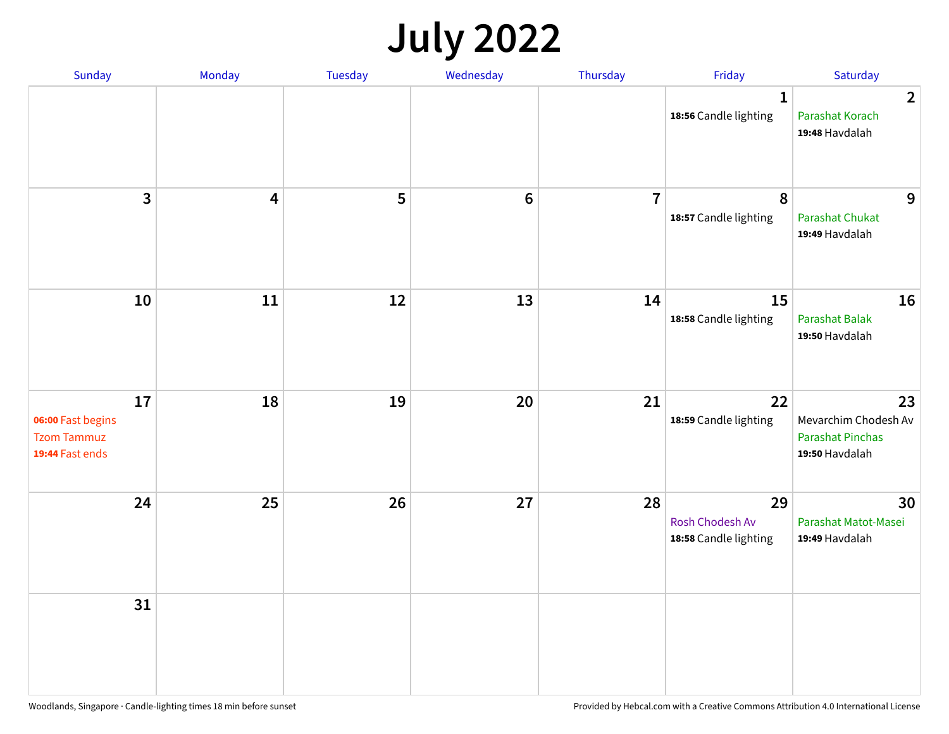## **July 2022**

| Sunday                                                           | Monday | Tuesday | Wednesday | Thursday       | Friday                                         | Saturday                                                                |
|------------------------------------------------------------------|--------|---------|-----------|----------------|------------------------------------------------|-------------------------------------------------------------------------|
|                                                                  |        |         |           |                | $\mathbf{1}$<br>18:56 Candle lighting          | $\overline{2}$<br>Parashat Korach<br>19:48 Havdalah                     |
| $\mathbf{3}$                                                     | 4      | 5       | $\bf 6$   | $\overline{7}$ | 8<br>18:57 Candle lighting                     | 9<br><b>Parashat Chukat</b><br>19:49 Havdalah                           |
| 10                                                               | 11     | 12      | 13        | 14             | 15<br>18:58 Candle lighting                    | 16<br>Parashat Balak<br>19:50 Havdalah                                  |
| 17<br>06:00 Fast begins<br><b>Tzom Tammuz</b><br>19:44 Fast ends | 18     | 19      | 20        | 21             | 22<br>18:59 Candle lighting                    | 23<br>Mevarchim Chodesh Av<br><b>Parashat Pinchas</b><br>19:50 Havdalah |
| 24                                                               | 25     | 26      | 27        | 28             | 29<br>Rosh Chodesh Av<br>18:58 Candle lighting | 30<br>Parashat Matot-Masei<br>19:49 Havdalah                            |
| 31                                                               |        |         |           |                |                                                |                                                                         |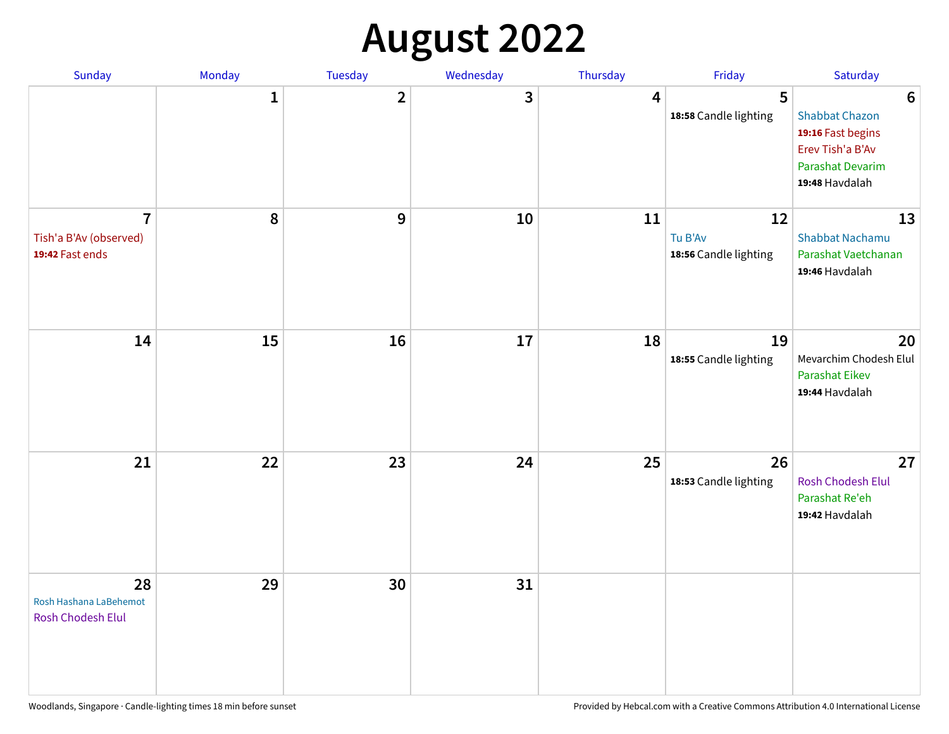## **August 2022**

| Sunday                                                      | Monday       | Tuesday                 | Wednesday | Thursday | Friday                                 | Saturday                                                                                                                       |
|-------------------------------------------------------------|--------------|-------------------------|-----------|----------|----------------------------------------|--------------------------------------------------------------------------------------------------------------------------------|
|                                                             | $\mathbf{1}$ | $\overline{\mathbf{2}}$ | 3         | 4        | 5<br>18:58 Candle lighting             | $6\phantom{1}6$<br><b>Shabbat Chazon</b><br>19:16 Fast begins<br>Erev Tish'a B'Av<br><b>Parashat Devarim</b><br>19:48 Havdalah |
| $\overline{7}$<br>Tish'a B'Av (observed)<br>19:42 Fast ends | 8            | 9                       | 10        | 11       | 12<br>Tu B'Av<br>18:56 Candle lighting | 13<br><b>Shabbat Nachamu</b><br>Parashat Vaetchanan<br>19:46 Havdalah                                                          |
| 14                                                          | 15           | 16                      | 17        | 18       | 19<br>18:55 Candle lighting            | 20<br>Mevarchim Chodesh Elul<br><b>Parashat Eikev</b><br>19:44 Havdalah                                                        |
| 21                                                          | 22           | 23                      | 24        | 25       | 26<br>18:53 Candle lighting            | 27<br><b>Rosh Chodesh Elul</b><br>Parashat Re'eh<br>19:42 Havdalah                                                             |
| 28<br>Rosh Hashana LaBehemot<br><b>Rosh Chodesh Elul</b>    | 29           | 30                      | 31        |          |                                        |                                                                                                                                |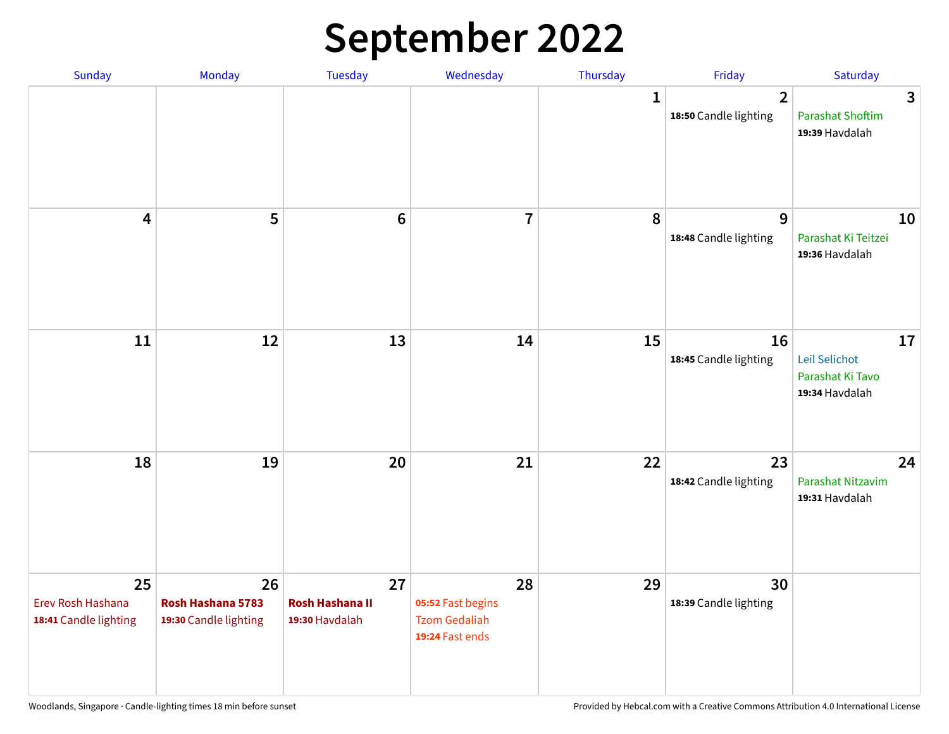## **September 2022**

| Sunday                                           | Monday                                           | Tuesday                                        | Wednesday                                                          | Thursday     | Friday                                  | Saturday                                                  |
|--------------------------------------------------|--------------------------------------------------|------------------------------------------------|--------------------------------------------------------------------|--------------|-----------------------------------------|-----------------------------------------------------------|
|                                                  |                                                  |                                                |                                                                    | $\mathbf{1}$ | $\overline{2}$<br>18:50 Candle lighting | 3<br><b>Parashat Shoftim</b><br>19:39 Havdalah            |
| $\overline{\mathbf{4}}$                          | 5                                                | $6\phantom{1}6$                                | $\overline{7}$                                                     | 8            | 9<br>18:48 Candle lighting              | 10<br>Parashat Ki Teitzei<br>19:36 Havdalah               |
| $11\,$                                           | 12                                               | 13                                             | 14                                                                 | 15           | 16<br>18:45 Candle lighting             | 17<br>Leil Selichot<br>Parashat Ki Tavo<br>19:34 Havdalah |
| 18                                               | 19                                               | 20                                             | 21                                                                 | 22           | 23<br>18:42 Candle lighting             | 24<br>Parashat Nitzavim<br>19:31 Havdalah                 |
| 25<br>Erev Rosh Hashana<br>18:41 Candle lighting | 26<br>Rosh Hashana 5783<br>19:30 Candle lighting | 27<br><b>Rosh Hashana II</b><br>19:30 Havdalah | 28<br>05:52 Fast begins<br><b>Tzom Gedaliah</b><br>19:24 Fast ends | 29           | 30<br>18:39 Candle lighting             |                                                           |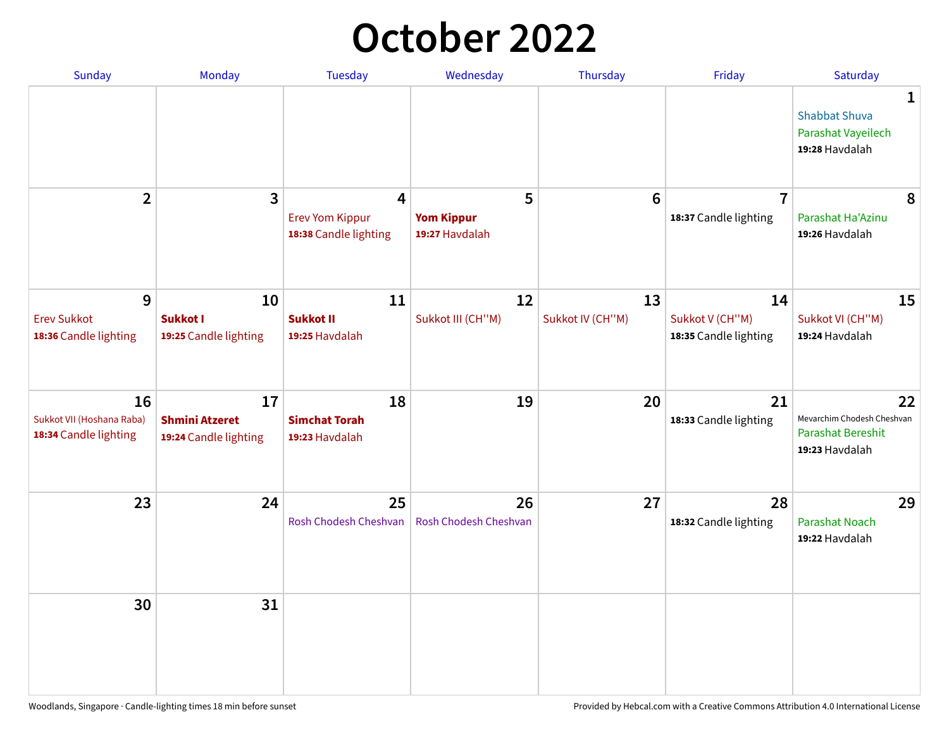## **October 2022**

| Sunday                                                   | <b>Monday</b>                                        | <b>Tuesday</b>                                                    | Wednesday                                | Thursday               | Friday                                         | Saturday                                                                |
|----------------------------------------------------------|------------------------------------------------------|-------------------------------------------------------------------|------------------------------------------|------------------------|------------------------------------------------|-------------------------------------------------------------------------|
|                                                          |                                                      |                                                                   |                                          |                        |                                                | 1<br><b>Shabbat Shuva</b><br>Parashat Vayeilech<br>19:28 Havdalah       |
| $\overline{2}$                                           | $\overline{\mathbf{3}}$                              | $\overline{4}$<br><b>Erev Yom Kippur</b><br>18:38 Candle lighting | 5<br><b>Yom Kippur</b><br>19:27 Havdalah | 6                      | $\overline{7}$<br>18:37 Candle lighting        | 8<br>Parashat Ha'Azinu<br>19:26 Havdalah                                |
| 9<br><b>Erev Sukkot</b><br>18:36 Candle lighting         | 10<br><b>Sukkot I</b><br>19:25 Candle lighting       | 11<br><b>Sukkot II</b><br>19:25 Havdalah                          | 12<br>Sukkot III (CH"M)                  | 13<br>Sukkot IV (CH"M) | 14<br>Sukkot V (CH"M)<br>18:35 Candle lighting | 15<br>Sukkot VI (CH"M)<br>19:24 Havdalah                                |
| 16<br>Sukkot VII (Hoshana Raba)<br>18:34 Candle lighting | 17<br><b>Shmini Atzeret</b><br>19:24 Candle lighting | 18<br><b>Simchat Torah</b><br>19:23 Havdalah                      | 19                                       | 20                     | 21<br>18:33 Candle lighting                    | 22<br>Mevarchim Chodesh Cheshvan<br>Parashat Bereshit<br>19:23 Havdalah |
| 23                                                       | 24                                                   | 25<br>Rosh Chodesh Cheshvan                                       | 26<br>Rosh Chodesh Cheshvan              | 27                     | 28<br>18:32 Candle lighting                    | 29<br><b>Parashat Noach</b><br>19:22 Havdalah                           |
| 30                                                       | 31                                                   |                                                                   |                                          |                        |                                                |                                                                         |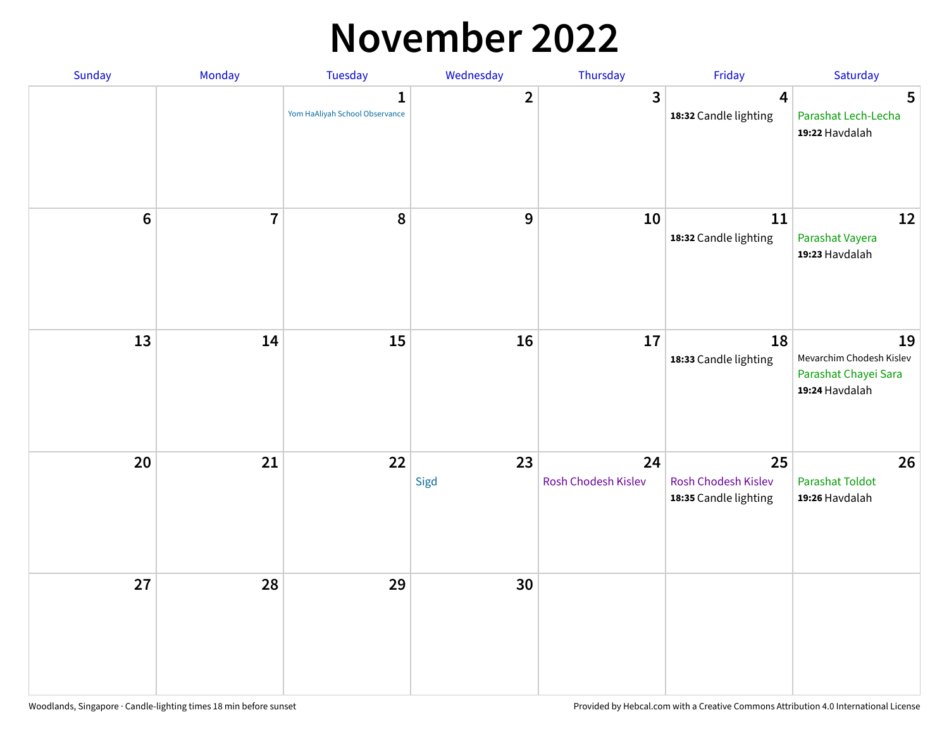#### **November 2022**

| Sunday  | Monday         | Tuesday                                        | Wednesday               | Thursday                  | Friday                                             | Saturday                                                                 |
|---------|----------------|------------------------------------------------|-------------------------|---------------------------|----------------------------------------------------|--------------------------------------------------------------------------|
|         |                | $\mathbf{1}$<br>Yom HaAliyah School Observance | $\overline{\mathbf{2}}$ | 3                         | $\overline{\mathbf{4}}$<br>18:32 Candle lighting   | $5\phantom{1}$<br>Parashat Lech-Lecha<br>19:22 Havdalah                  |
| $\bf 6$ | $\overline{7}$ | 8                                              | $\boldsymbol{9}$        | 10                        | 11<br>18:32 Candle lighting                        | 12<br>Parashat Vayera<br>19:23 Havdalah                                  |
| 13      | 14             | 15                                             | 16                      | 17                        | 18<br>18:33 Candle lighting                        | 19<br>Mevarchim Chodesh Kislev<br>Parashat Chayei Sara<br>19:24 Havdalah |
| 20      | 21             | 22                                             | 23<br>Sigd              | 24<br>Rosh Chodesh Kislev | 25<br>Rosh Chodesh Kislev<br>18:35 Candle lighting | 26<br><b>Parashat Toldot</b><br>19:26 Havdalah                           |
| 27      | 28             | 29                                             | 30                      |                           |                                                    |                                                                          |